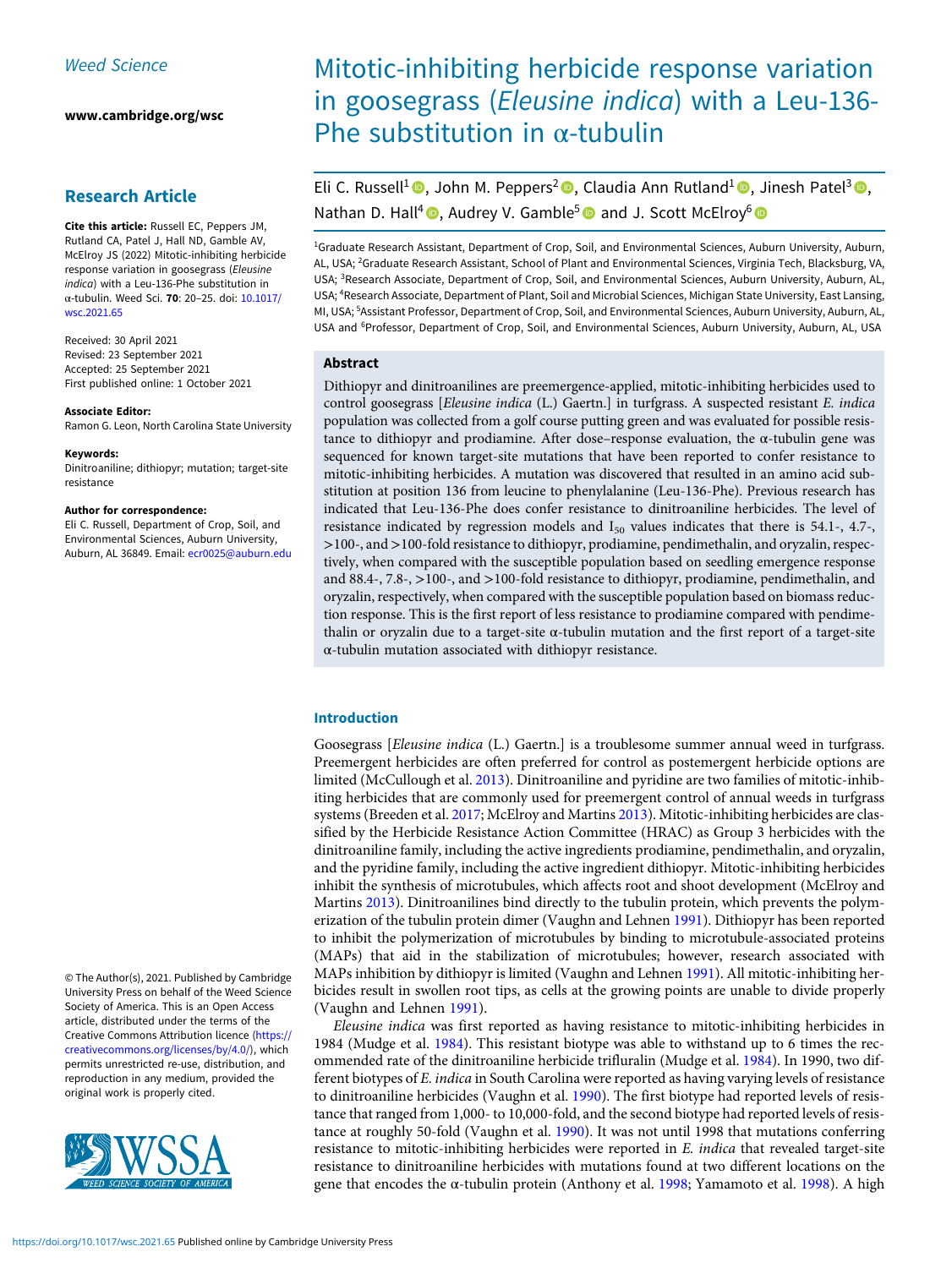[www.cambridge.org/wsc](https://www.cambridge.org/wsc)

## Research Article

Cite this article: Russell EC, Peppers JM, Rutland CA, Patel J, Hall ND, Gamble AV, McElroy JS (2022) Mitotic-inhibiting herbicide response variation in goosegrass (Eleusine indica) with a Leu-136-Phe substitution in α-tubulin. Weed Sci. 70: 20–25. doi: [10.1017/](https://doi.org/10.1017/wsc.2021.65) [wsc.2021.65](https://doi.org/10.1017/wsc.2021.65)

Received: 30 April 2021 Revised: 23 September 2021 Accepted: 25 September 2021 First published online: 1 October 2021

#### Associate Editor:

Ramon G. Leon, North Carolina State University

#### Keywords:

Dinitroaniline; dithiopyr; mutation; target-site resistance

#### Author for correspondence:

Eli C. Russell, Department of Crop, Soil, and Environmental Sciences, Auburn University, Auburn, AL 36849. Email: [ecr0025@auburn.edu](mailto:ecr0025@auburn.edu)

© The Author(s), 2021. Published by Cambridge University Press on behalf of the Weed Science Society of America. This is an Open Access article, distributed under the terms of the Creative Commons Attribution licence ([https://](https://creativecommons.org/licenses/by/4.0/) [creativecommons.org/licenses/by/4.0/](https://creativecommons.org/licenses/by/4.0/)), which permits unrestricted re-use, distribution, and reproduction in any medium, provided the original work is properly cited.



# Mitotic-inhibiting herbicide response variation in goosegrass (Eleusine indica) with a Leu-136- Phe substitution in  $\alpha$ -tubulin

Eli C. Russell<sup>1</sup> , John M. Peppers<sup>2</sup> , Claudia Ann Rutland<sup>1</sup> , Jinesh Patel<sup>3</sup> , Nathan D. Hall<sup>4</sup> **D**, Audrey V. Gamble<sup>5</sup> and J. Scott McElroy<sup>6</sup> and

<sup>1</sup>Graduate Research Assistant, Department of Crop, Soil, and Environmental Sciences, Auburn University, Auburn, AL, USA; <sup>2</sup>Graduate Research Assistant, School of Plant and Environmental Sciences, Virginia Tech, Blacksburg, VA, USA; <sup>3</sup> Research Associate, Department of Crop, Soil, and Environmental Sciences, Auburn University, Auburn, AL, USA; <sup>4</sup> Research Associate, Department of Plant, Soil and Microbial Sciences, Michigan State University, East Lansing, MI, USA; <sup>5</sup>Assistant Professor, Department of Crop, Soil, and Environmental Sciences, Auburn University, Auburn, AL, USA and <sup>6</sup>Professor, Department of Crop, Soil, and Environmental Sciences, Auburn University, Auburn, AL, USA

### Abstract

Dithiopyr and dinitroanilines are preemergence-applied, mitotic-inhibiting herbicides used to control goosegrass [Eleusine indica (L.) Gaertn.] in turfgrass. A suspected resistant E. indica population was collected from a golf course putting green and was evaluated for possible resistance to dithiopyr and prodiamine. After dose–response evaluation, the α-tubulin gene was sequenced for known target-site mutations that have been reported to confer resistance to mitotic-inhibiting herbicides. A mutation was discovered that resulted in an amino acid substitution at position 136 from leucine to phenylalanine (Leu-136-Phe). Previous research has indicated that Leu-136-Phe does confer resistance to dinitroaniline herbicides. The level of resistance indicated by regression models and  $I_{50}$  values indicates that there is 54.1-, 4.7-, >100-, and >100-fold resistance to dithiopyr, prodiamine, pendimethalin, and oryzalin, respectively, when compared with the susceptible population based on seedling emergence response and 88.4-, 7.8-, >100-, and >100-fold resistance to dithiopyr, prodiamine, pendimethalin, and oryzalin, respectively, when compared with the susceptible population based on biomass reduction response. This is the first report of less resistance to prodiamine compared with pendimethalin or oryzalin due to a target-site α-tubulin mutation and the first report of a target-site α-tubulin mutation associated with dithiopyr resistance.

#### Introduction

Goosegrass [Eleusine indica (L.) Gaertn.] is a troublesome summer annual weed in turfgrass. Preemergent herbicides are often preferred for control as postemergent herbicide options are limited (McCullough et al. [2013\)](#page-5-0). Dinitroaniline and pyridine are two families of mitotic-inhibiting herbicides that are commonly used for preemergent control of annual weeds in turfgrass systems (Breeden et al. [2017;](#page-5-0) McElroy and Martins [2013](#page-5-0)). Mitotic-inhibiting herbicides are classified by the Herbicide Resistance Action Committee (HRAC) as Group 3 herbicides with the dinitroaniline family, including the active ingredients prodiamine, pendimethalin, and oryzalin, and the pyridine family, including the active ingredient dithiopyr. Mitotic-inhibiting herbicides inhibit the synthesis of microtubules, which affects root and shoot development (McElroy and Martins [2013](#page-5-0)). Dinitroanilines bind directly to the tubulin protein, which prevents the polymerization of the tubulin protein dimer (Vaughn and Lehnen [1991\)](#page-5-0). Dithiopyr has been reported to inhibit the polymerization of microtubules by binding to microtubule-associated proteins (MAPs) that aid in the stabilization of microtubules; however, research associated with MAPs inhibition by dithiopyr is limited (Vaughn and Lehnen [1991](#page-5-0)). All mitotic-inhibiting herbicides result in swollen root tips, as cells at the growing points are unable to divide properly (Vaughn and Lehnen [1991\)](#page-5-0).

Eleusine indica was first reported as having resistance to mitotic-inhibiting herbicides in 1984 (Mudge et al. [1984\)](#page-5-0). This resistant biotype was able to withstand up to 6 times the recommended rate of the dinitroaniline herbicide trifluralin (Mudge et al. [1984\)](#page-5-0). In 1990, two different biotypes of E. indica in South Carolina were reported as having varying levels of resistance to dinitroaniline herbicides (Vaughn et al. [1990](#page-5-0)). The first biotype had reported levels of resistance that ranged from 1,000- to 10,000-fold, and the second biotype had reported levels of resistance at roughly 50-fold (Vaughn et al. [1990\)](#page-5-0). It was not until 1998 that mutations conferring resistance to mitotic-inhibiting herbicides were reported in E. *indica* that revealed target-site resistance to dinitroaniline herbicides with mutations found at two different locations on the gene that encodes the α-tubulin protein (Anthony et al. [1998](#page-5-0); Yamamoto et al. [1998](#page-5-0)). A high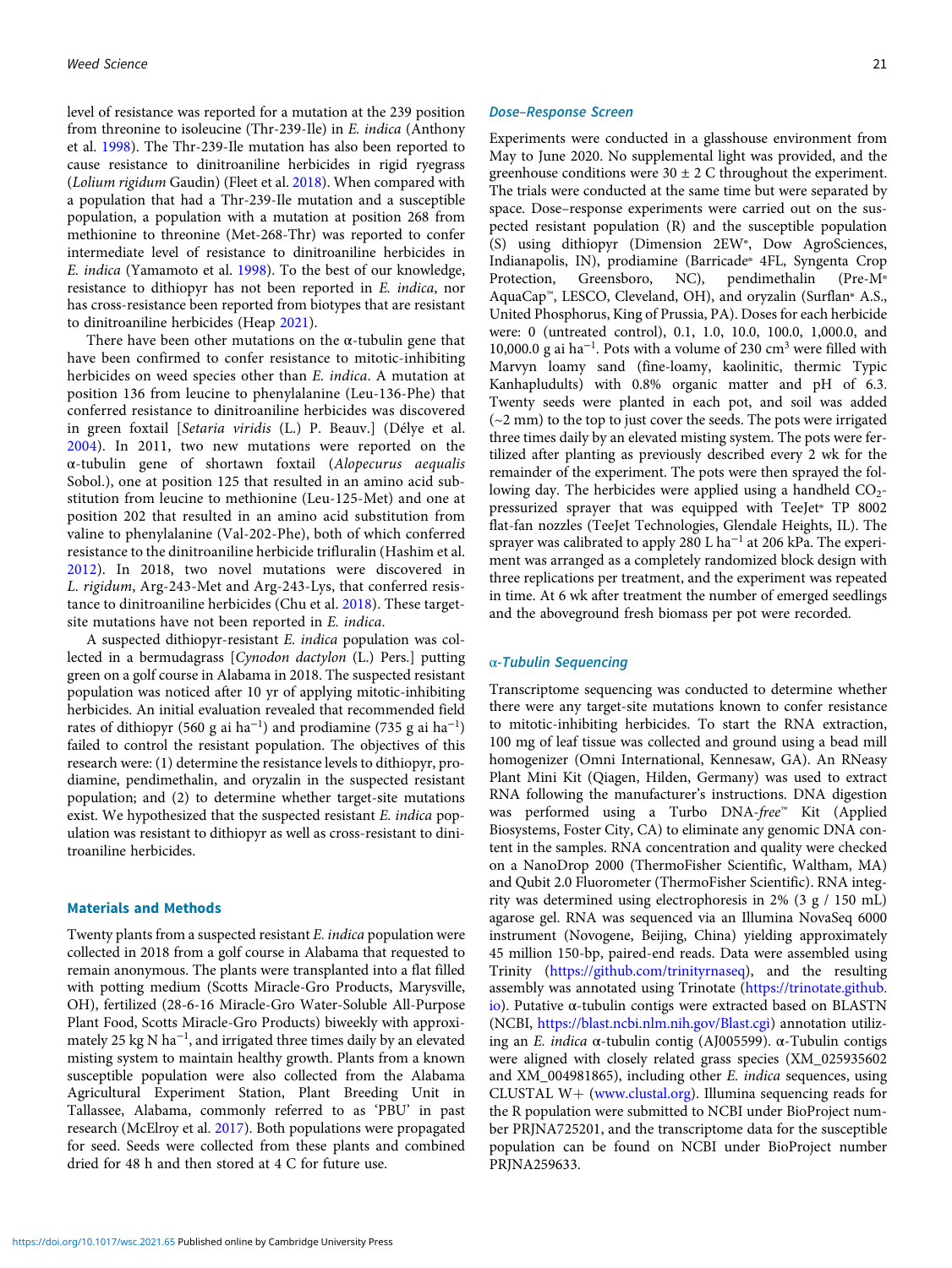level of resistance was reported for a mutation at the 239 position from threonine to isoleucine (Thr-239-Ile) in E. indica (Anthony et al. [1998\)](#page-5-0). The Thr-239-Ile mutation has also been reported to cause resistance to dinitroaniline herbicides in rigid ryegrass (Lolium rigidum Gaudin) (Fleet et al. [2018](#page-5-0)). When compared with a population that had a Thr-239-Ile mutation and a susceptible population, a population with a mutation at position 268 from methionine to threonine (Met-268-Thr) was reported to confer intermediate level of resistance to dinitroaniline herbicides in E. indica (Yamamoto et al. [1998\)](#page-5-0). To the best of our knowledge, resistance to dithiopyr has not been reported in E. indica, nor has cross-resistance been reported from biotypes that are resistant to dinitroaniline herbicides (Heap [2021](#page-5-0)).

There have been other mutations on the  $\alpha$ -tubulin gene that have been confirmed to confer resistance to mitotic-inhibiting herbicides on weed species other than E. indica. A mutation at position 136 from leucine to phenylalanine (Leu-136-Phe) that conferred resistance to dinitroaniline herbicides was discovered in green foxtail [Setaria viridis (L.) P. Beauv.] (Délye et al. [2004\)](#page-5-0). In 2011, two new mutations were reported on the α-tubulin gene of shortawn foxtail (Alopecurus aequalis Sobol.), one at position 125 that resulted in an amino acid substitution from leucine to methionine (Leu-125-Met) and one at position 202 that resulted in an amino acid substitution from valine to phenylalanine (Val-202-Phe), both of which conferred resistance to the dinitroaniline herbicide trifluralin (Hashim et al. [2012\)](#page-5-0). In 2018, two novel mutations were discovered in L. rigidum, Arg-243-Met and Arg-243-Lys, that conferred resistance to dinitroaniline herbicides (Chu et al. [2018\)](#page-5-0). These targetsite mutations have not been reported in E. indica.

A suspected dithiopyr-resistant E. indica population was collected in a bermudagrass [Cynodon dactylon (L.) Pers.] putting green on a golf course in Alabama in 2018. The suspected resistant population was noticed after 10 yr of applying mitotic-inhibiting herbicides. An initial evaluation revealed that recommended field rates of dithiopyr (560 g ai ha<sup>-1</sup>) and prodiamine (735 g ai ha<sup>-1</sup>) failed to control the resistant population. The objectives of this research were: (1) determine the resistance levels to dithiopyr, prodiamine, pendimethalin, and oryzalin in the suspected resistant population; and (2) to determine whether target-site mutations exist. We hypothesized that the suspected resistant E. indica population was resistant to dithiopyr as well as cross-resistant to dinitroaniline herbicides.

## Materials and Methods

Twenty plants from a suspected resistant E. indica population were collected in 2018 from a golf course in Alabama that requested to remain anonymous. The plants were transplanted into a flat filled with potting medium (Scotts Miracle-Gro Products, Marysville, OH), fertilized (28-6-16 Miracle-Gro Water-Soluble All-Purpose Plant Food, Scotts Miracle-Gro Products) biweekly with approximately 25 kg N ha<sup>−</sup><sup>1</sup> , and irrigated three times daily by an elevated misting system to maintain healthy growth. Plants from a known susceptible population were also collected from the Alabama Agricultural Experiment Station, Plant Breeding Unit in Tallassee, Alabama, commonly referred to as 'PBU' in past research (McElroy et al. [2017\)](#page-5-0). Both populations were propagated for seed. Seeds were collected from these plants and combined dried for 48 h and then stored at 4 C for future use.

#### Dose–Response Screen

Experiments were conducted in a glasshouse environment from May to June 2020. No supplemental light was provided, and the greenhouse conditions were  $30 \pm 2$  C throughout the experiment. The trials were conducted at the same time but were separated by space. Dose–response experiments were carried out on the suspected resistant population (R) and the susceptible population (S) using dithiopyr (Dimension 2EW®, Dow AgroSciences, Indianapolis, IN), prodiamine (Barricade® 4FL, Syngenta Crop<br>Protection, Greensboro, NC), pendimethalin (Pre-M® Greensboro, NC), AquaCap™, LESCO, Cleveland, OH), and oryzalin (Surflan® A.S., United Phosphorus, King of Prussia, PA). Doses for each herbicide were: 0 (untreated control), 0.1, 1.0, 10.0, 100.0, 1,000.0, and 10,000.0 g ai ha<sup>−</sup><sup>1</sup> . Pots with a volume of 230 cm<sup>3</sup> were filled with Marvyn loamy sand (fine-loamy, kaolinitic, thermic Typic Kanhapludults) with 0.8% organic matter and pH of 6.3. Twenty seeds were planted in each pot, and soil was added  $(-2$  mm) to the top to just cover the seeds. The pots were irrigated three times daily by an elevated misting system. The pots were fertilized after planting as previously described every 2 wk for the remainder of the experiment. The pots were then sprayed the following day. The herbicides were applied using a handheld  $CO<sub>2</sub>$ pressurized sprayer that was equipped with TeeJet® TP 8002 flat-fan nozzles (TeeJet Technologies, Glendale Heights, IL). The sprayer was calibrated to apply 280 L ha<sup>-1</sup> at 206 kPa. The experiment was arranged as a completely randomized block design with three replications per treatment, and the experiment was repeated in time. At 6 wk after treatment the number of emerged seedlings and the aboveground fresh biomass per pot were recorded.

#### <sup>α</sup>-Tubulin Sequencing

Transcriptome sequencing was conducted to determine whether there were any target-site mutations known to confer resistance to mitotic-inhibiting herbicides. To start the RNA extraction, 100 mg of leaf tissue was collected and ground using a bead mill homogenizer (Omni International, Kennesaw, GA). An RNeasy Plant Mini Kit (Qiagen, Hilden, Germany) was used to extract RNA following the manufacturer's instructions. DNA digestion was performed using a Turbo DNA-free™ Kit (Applied Biosystems, Foster City, CA) to eliminate any genomic DNA content in the samples. RNA concentration and quality were checked on a NanoDrop 2000 (ThermoFisher Scientific, Waltham, MA) and Qubit 2.0 Fluorometer (ThermoFisher Scientific). RNA integrity was determined using electrophoresis in 2% (3 g / 150 mL) agarose gel. RNA was sequenced via an Illumina NovaSeq 6000 instrument (Novogene, Beijing, China) yielding approximately 45 million 150-bp, paired-end reads. Data were assembled using Trinity (<https://github.com/trinityrnaseq>), and the resulting assembly was annotated using Trinotate [\(https://trinotate.github.](https://trinotate.github.io) [io](https://trinotate.github.io)). Putative α-tubulin contigs were extracted based on BLASTN (NCBI, [https://blast.ncbi.nlm.nih.gov/Blast.cgi\)](https://blast.ncbi.nlm.nih.gov/Blast.cgi) annotation utilizing an *E. indica* α-tubulin contig (AJ005599). α-Tubulin contigs were aligned with closely related grass species (XM\_025935602 and XM\_004981865), including other E. indica sequences, using CLUSTAL W+ ([www.clustal.org](http://www.clustal.org)). Illumina sequencing reads for the R population were submitted to NCBI under BioProject number PRJNA725201, and the transcriptome data for the susceptible population can be found on NCBI under BioProject number PRJNA259633.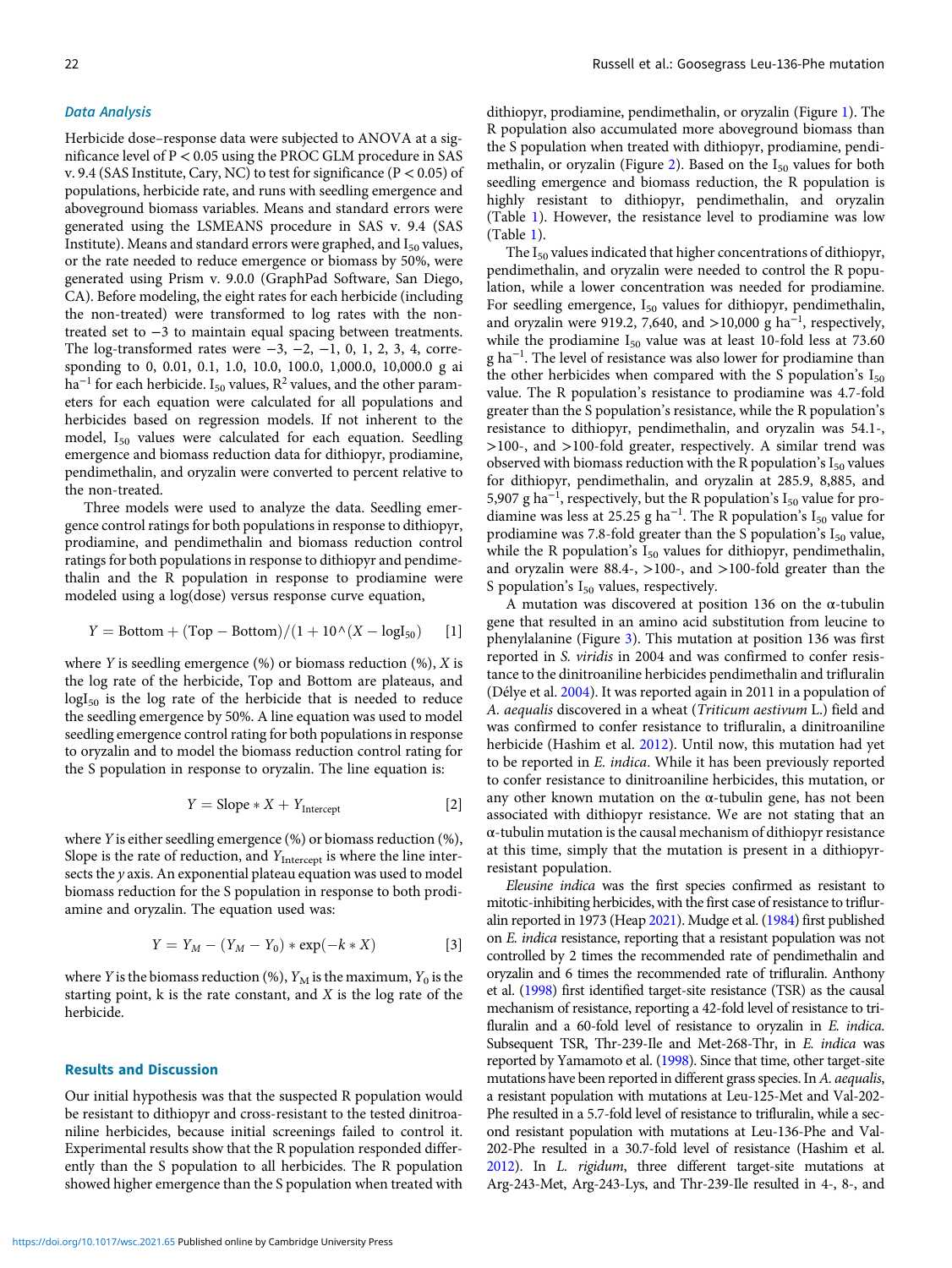## Data Analysis

Herbicide dose–response data were subjected to ANOVA at a significance level of P < 0.05 using the PROC GLM procedure in SAS v. 9.4 (SAS Institute, Cary, NC) to test for significance ( $P < 0.05$ ) of populations, herbicide rate, and runs with seedling emergence and aboveground biomass variables. Means and standard errors were generated using the LSMEANS procedure in SAS v. 9.4 (SAS Institute). Means and standard errors were graphed, and  $I_{50}$  values, or the rate needed to reduce emergence or biomass by 50%, were generated using Prism v. 9.0.0 (GraphPad Software, San Diego, CA). Before modeling, the eight rates for each herbicide (including the non-treated) were transformed to log rates with the nontreated set to −3 to maintain equal spacing between treatments. The log-transformed rates were  $-3$ ,  $-2$ ,  $-1$ , 0, 1, 2, 3, 4, corresponding to 0, 0.01, 0.1, 1.0, 10.0, 100.0, 1,000.0, 10,000.0 g ai ha<sup>-1</sup> for each herbicide. I<sub>50</sub> values, R<sup>2</sup> values, and the other parameters for each equation were calculated for all populations and herbicides based on regression models. If not inherent to the model, I<sub>50</sub> values were calculated for each equation. Seedling emergence and biomass reduction data for dithiopyr, prodiamine, pendimethalin, and oryzalin were converted to percent relative to the non-treated.

Three models were used to analyze the data. Seedling emergence control ratings for both populations in response to dithiopyr, prodiamine, and pendimethalin and biomass reduction control ratings for both populations in response to dithiopyr and pendimethalin and the R population in response to prodiamine were modeled using a log(dose) versus response curve equation,

$$
Y = \text{Bottom} + (\text{Top} - \text{Bottom})/(1 + 10 \land (X - \text{logI}_{50}) \quad [1]
$$

where Y is seedling emergence  $(\%)$  or biomass reduction  $(\%)$ , X is the log rate of the herbicide, Top and Bottom are plateaus, and  $logI_{50}$  is the log rate of the herbicide that is needed to reduce the seedling emergence by 50%. A line equation was used to model seedling emergence control rating for both populations in response to oryzalin and to model the biomass reduction control rating for the S population in response to oryzalin. The line equation is:

$$
Y = \text{Slope} * X + Y_{\text{Intercept}} \tag{2}
$$

where Y is either seedling emergence (%) or biomass reduction (%), Slope is the rate of reduction, and  $Y_{\text{Intercept}}$  is where the line intersects the y axis. An exponential plateau equation was used to model biomass reduction for the S population in response to both prodiamine and oryzalin. The equation used was:

$$
Y = Y_M - (Y_M - Y_0) * \exp(-k * X)
$$
 [3]

where Y is the biomass reduction (%),  $Y_M$  is the maximum,  $Y_0$  is the starting point,  $k$  is the rate constant, and  $X$  is the log rate of the herbicide.

## Results and Discussion

Our initial hypothesis was that the suspected R population would be resistant to dithiopyr and cross-resistant to the tested dinitroaniline herbicides, because initial screenings failed to control it. Experimental results show that the R population responded differently than the S population to all herbicides. The R population showed higher emergence than the S population when treated with dithiopyr, prodiamine, pendimethalin, or oryzalin (Figure [1\)](#page-3-0). The R population also accumulated more aboveground biomass than the S population when treated with dithiopyr, prodiamine, pendi-methalin, or oryzalin (Figure [2\)](#page-3-0). Based on the  $I_{50}$  values for both seedling emergence and biomass reduction, the R population is highly resistant to dithiopyr, pendimethalin, and oryzalin (Table [1](#page-4-0)). However, the resistance level to prodiamine was low (Table [1](#page-4-0)).

The  $I_{50}$  values indicated that higher concentrations of dithiopyr, pendimethalin, and oryzalin were needed to control the R population, while a lower concentration was needed for prodiamine. For seedling emergence,  $I_{50}$  values for dithiopyr, pendimethalin, and oryzalin were 919.2, 7,640, and >10,000  $g$  ha<sup>-1</sup>, respectively, while the prodiamine  $I_{50}$  value was at least 10-fold less at 73.60 g ha<sup>-1</sup>. The level of resistance was also lower for prodiamine than the other herbicides when compared with the S population's  $I_{50}$ value. The R population's resistance to prodiamine was 4.7-fold greater than the S population's resistance, while the R population's resistance to dithiopyr, pendimethalin, and oryzalin was 54.1-, >100-, and >100-fold greater, respectively. A similar trend was observed with biomass reduction with the R population's  $I_{50}$  values for dithiopyr, pendimethalin, and oryzalin at 285.9, 8,885, and 5,907 g ha<sup>-1</sup>, respectively, but the R population's  $I_{50}$  value for prodiamine was less at 25.25 g ha<sup>-1</sup>. The R population's  $I_{50}$  value for prodiamine was 7.8-fold greater than the S population's  $I_{50}$  value, while the R population's  $I_{50}$  values for dithiopyr, pendimethalin, and oryzalin were 88.4-, >100-, and >100-fold greater than the S population's  $I_{50}$  values, respectively.

A mutation was discovered at position 136 on the α-tubulin gene that resulted in an amino acid substitution from leucine to phenylalanine (Figure [3\)](#page-4-0). This mutation at position 136 was first reported in S. viridis in 2004 and was confirmed to confer resistance to the dinitroaniline herbicides pendimethalin and trifluralin (Délye et al. [2004\)](#page-5-0). It was reported again in 2011 in a population of A. aequalis discovered in a wheat (Triticum aestivum L.) field and was confirmed to confer resistance to trifluralin, a dinitroaniline herbicide (Hashim et al. [2012](#page-5-0)). Until now, this mutation had yet to be reported in E. indica. While it has been previously reported to confer resistance to dinitroaniline herbicides, this mutation, or any other known mutation on the  $\alpha$ -tubulin gene, has not been associated with dithiopyr resistance. We are not stating that an  $\alpha$ -tubulin mutation is the causal mechanism of dithiopyr resistance at this time, simply that the mutation is present in a dithiopyrresistant population.

Eleusine indica was the first species confirmed as resistant to mitotic-inhibiting herbicides, with the first case of resistance to trifluralin reported in 1973 (Heap [2021](#page-5-0)). Mudge et al. [\(1984\)](#page-5-0) first published on E. indica resistance, reporting that a resistant population was not controlled by 2 times the recommended rate of pendimethalin and oryzalin and 6 times the recommended rate of trifluralin. Anthony et al. [\(1998](#page-5-0)) first identified target-site resistance (TSR) as the causal mechanism of resistance, reporting a 42-fold level of resistance to trifluralin and a 60-fold level of resistance to oryzalin in E. indica. Subsequent TSR, Thr-239-Ile and Met-268-Thr, in E. indica was reported by Yamamoto et al. [\(1998\)](#page-5-0). Since that time, other target-site mutations have been reported in different grass species. In A. aequalis, a resistant population with mutations at Leu-125-Met and Val-202- Phe resulted in a 5.7-fold level of resistance to trifluralin, while a second resistant population with mutations at Leu-136-Phe and Val-202-Phe resulted in a 30.7-fold level of resistance (Hashim et al. [2012\)](#page-5-0). In L. rigidum, three different target-site mutations at Arg-243-Met, Arg-243-Lys, and Thr-239-Ile resulted in 4-, 8-, and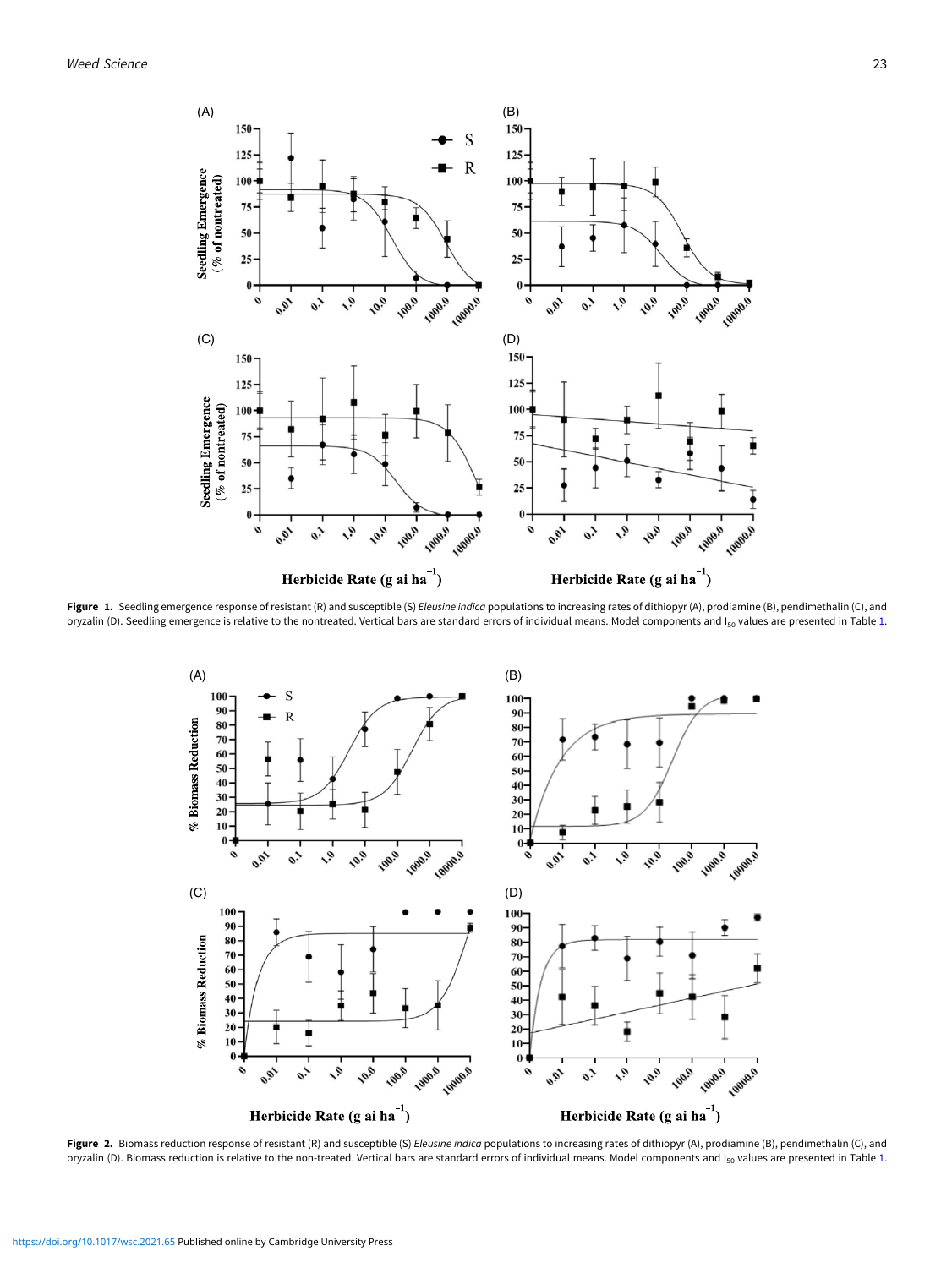<span id="page-3-0"></span>

Figure 1. Seedling emergence response of resistant (R) and susceptible (S) Eleusine indica populations to increasing rates of dithiopyr (A), prodiamine (B), pendimethalin (C), and oryzalin (D). Seedling emergence is relative to the nontreated. Vertical bars are standard errors of individual means. Model components and I<sub>50</sub> values are presented in Table [1](#page-4-0).



Figure 2. Biomass reduction response of resistant (R) and susceptible (S) Eleusine indica populations to increasing rates of dithiopyr (A), prodiamine (B), pendimethalin (C), and oryzalin (D). Biomass reduction is relative to the non-treated. Vertical bars are standard errors of individual means. Model components and I<sub>50</sub> values are presented in Table [1](#page-4-0).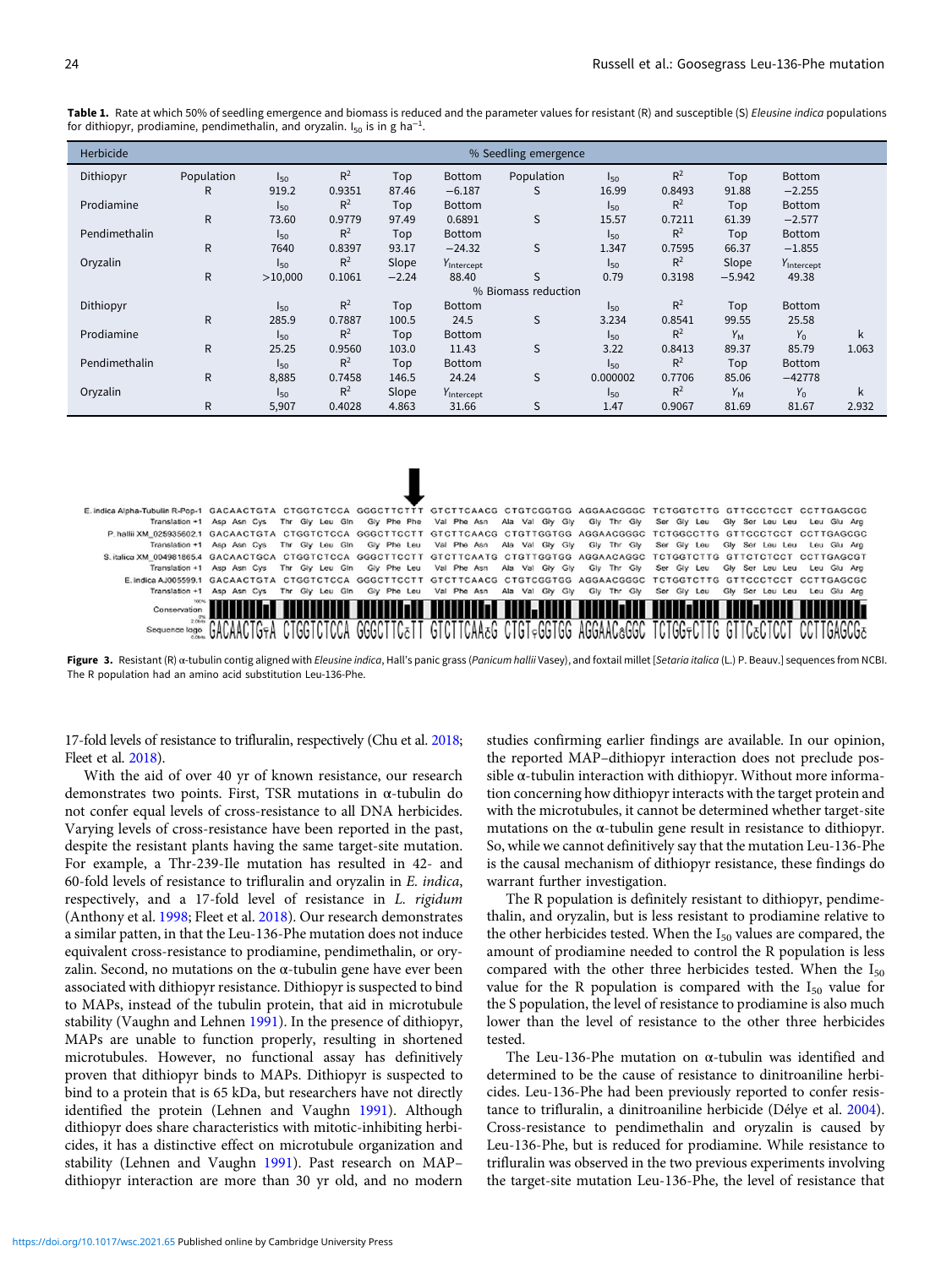| Herbicide     | % Seedling emergence |                     |                |         |                        |            |          |                |             |                        |       |  |  |
|---------------|----------------------|---------------------|----------------|---------|------------------------|------------|----------|----------------|-------------|------------------------|-------|--|--|
| Dithiopyr     | Population           | $I_{50}$            | $R^2$          | Top     | Bottom                 | Population | $I_{50}$ | $R^2$          | Top         | Bottom                 |       |  |  |
|               | R                    | 919.2               | 0.9351         | 87.46   | $-6.187$               | S          | 16.99    | 0.8493         | 91.88       | $-2.255$               |       |  |  |
| Prodiamine    |                      | $I_{50}$            | $R^2$          | Top     | <b>Bottom</b>          |            | $I_{50}$ | $R^2$          | Top         | Bottom                 |       |  |  |
|               | $\mathsf{R}$         | 73.60               | 0.9779         | 97.49   | 0.6891                 | S          | 15.57    | 0.7211         | 61.39       | $-2.577$               |       |  |  |
| Pendimethalin |                      | $I_{50}$            | $R^2$          | Top     | <b>Bottom</b>          |            | $I_{50}$ | $R^2$          | Top         | Bottom                 |       |  |  |
|               | R                    | 7640                | 0.8397         | 93.17   | $-24.32$               | S          | 1.347    | 0.7595         | 66.37       | $-1.855$               |       |  |  |
| Oryzalin      |                      | $I_{50}$            | $R^2$          | Slope   | Y <sub>Intercept</sub> |            | $I_{50}$ | $R^2$          | Slope       | Y <sub>Intercept</sub> |       |  |  |
|               | $\mathsf{R}$         | >10,000             | 0.1061         | $-2.24$ | 88.40                  | S          | 0.79     | 0.3198         | $-5.942$    | 49.38                  |       |  |  |
|               |                      | % Biomass reduction |                |         |                        |            |          |                |             |                        |       |  |  |
| Dithiopyr     |                      | $I_{50}$            | R <sup>2</sup> | Top     | Bottom                 |            | $I_{50}$ | R <sup>2</sup> | Top         | Bottom                 |       |  |  |
|               | $\mathsf{R}$         | 285.9               | 0.7887         | 100.5   | 24.5                   | S          | 3.234    | 0.8541         | 99.55       | 25.58                  |       |  |  |
| Prodiamine    |                      | $I_{50}$            | $R^2$          | Top     | Bottom                 |            | $I_{50}$ | $R^2$          | $Y_M$       | $Y_0$                  | k     |  |  |
|               | $\mathsf{R}$         | 25.25               | 0.9560         | 103.0   | 11.43                  | S          | 3.22     | 0.8413         | 89.37       | 85.79                  | 1.063 |  |  |
| Pendimethalin |                      | $I_{50}$            | R <sup>2</sup> | Top     | <b>Bottom</b>          |            | $I_{50}$ | $R^2$          | Top         | Bottom                 |       |  |  |
|               | R                    | 8,885               | 0.7458         | 146.5   | 24.24                  | S          | 0.000002 | 0.7706         | 85.06       | $-42778$               |       |  |  |
| Oryzalin      |                      | $I_{50}$            | $R^2$          | Slope   | Y <sub>Intercept</sub> |            | $I_{50}$ | $R^2$          | $Y_{\rm M}$ | $Y_0$                  | k     |  |  |
|               | $\mathsf{R}$         | 5,907               | 0.4028         | 4.863   | 31.66                  | S          | 1.47     | 0.9067         | 81.69       | 81.67                  | 2.932 |  |  |

<span id="page-4-0"></span>Table 1. Rate at which 50% of seedling emergence and biomass is reduced and the parameter values for resistant (R) and susceptible (S) Eleusine indica populations for dithiopyr, prodiamine, pendimethalin, and oryzalin. I $_{\rm 50}$  is in g ha $^{-1}$ .

| E.indica Alpha-Tubulin R-Pop-1 GACAACTGTA CTGGTCTCCA GGGCTTCTTT GTCTTCAACG CTGTCGGTGG AGGAACGGGC TCTGGTCTTG GTTCCCTCCT CCTTGAGCGC |                            |                 |             |             |                                                                     |             |             |                             |             |
|-----------------------------------------------------------------------------------------------------------------------------------|----------------------------|-----------------|-------------|-------------|---------------------------------------------------------------------|-------------|-------------|-----------------------------|-------------|
|                                                                                                                                   | Translation +1 Asp Asn Cys |                 |             |             | Thr Gly Leu Gin Gly Phe Phe Val Phe Asn Ala Val Gly Gly             | Gly Thr Gly | Ser Gly Leu | Gly Ser Leu Leu             | Leu Glu Ara |
| P.halliiXM 025935602.1 GACAACTGTA CTGGTCTCCA GGGCTTCCTT GTCTTCAACG CTGTTGGTGG AGGAACGGGC TCTGGCCTTG GTTCCCTCCT CCTTGAGCGC         |                            |                 |             |             |                                                                     |             |             |                             |             |
|                                                                                                                                   | Translation +1 Asp Asn Cys | Thr Gly Leu Gin | Gly Phe Leu | Val Phe Asn | Ala Val Gly Gly                                                     | Gly Thr Gly | Ser Gly Leu | Gly Ser Leu Leu             | Leu Glu Ara |
| Sitalica XM 0049818654 GACAACTGCA CTGGTCTCCA GGGCTTCCTT GTCTTCAATG CTGTTGGTGG AGGAACAGGC TCTGGTCTTG GTTCTCTCCT CCTTGAGCGT         |                            |                 |             |             |                                                                     |             |             |                             |             |
|                                                                                                                                   | Translation +1 Asp Asn Cys |                 |             |             | Thr Gly Leu Gin Gly Phe Leu Val Phe Asn Ala Val Gly Gly Gly Thr Gly |             | Ser Gly Leu | Gly Ser Leu Leu Leu Glu Ara |             |
| E.Indica AJ005599.1 GACAACTGTA CTGGTCTCCA GGGCTTCCTT GTCTTCAACG CTGTCGGTGG AGGAACGGGC TCTGGTCTTG GTTCCCTCCT CCTTGAGCGC            |                            |                 |             |             |                                                                     |             |             |                             |             |
|                                                                                                                                   | Translation +1 Asp Asn Cys | Thr Gly Leu Gin | Gly Phe Leu |             | Val Phe Asn Ala Val Gly Gly                                         | Gly Thr Gly | Ser Gly Leu | Gly Ser Leu Leu             | Leu Glu Arg |
| Conservation                                                                                                                      |                            |                 |             |             |                                                                     |             |             |                             |             |
|                                                                                                                                   |                            |                 |             |             |                                                                     |             |             |                             |             |
| Sequence logo                                                                                                                     |                            |                 |             |             |                                                                     | 166440      |             |                             |             |

Figure 3. Resistant (R) α-tubulin contig aligned with *Eleusine indica*, Hall's panic grass (*Panicum hallii* Vasey), and foxtail millet [Setaria italica (L.) P. Beauv.] sequences from NCBI. The R population had an amino acid substitution Leu-136-Phe.

17-fold levels of resistance to trifluralin, respectively (Chu et al. [2018](#page-5-0); Fleet et al. [2018](#page-5-0)).

With the aid of over 40 yr of known resistance, our research demonstrates two points. First, TSR mutations in α-tubulin do not confer equal levels of cross-resistance to all DNA herbicides. Varying levels of cross-resistance have been reported in the past, despite the resistant plants having the same target-site mutation. For example, a Thr-239-Ile mutation has resulted in 42- and 60-fold levels of resistance to trifluralin and oryzalin in E. indica, respectively, and a 17-fold level of resistance in L. rigidum (Anthony et al. [1998;](#page-5-0) Fleet et al. [2018](#page-5-0)). Our research demonstrates a similar patten, in that the Leu-136-Phe mutation does not induce equivalent cross-resistance to prodiamine, pendimethalin, or oryzalin. Second, no mutations on the  $\alpha$ -tubulin gene have ever been associated with dithiopyr resistance. Dithiopyr is suspected to bind to MAPs, instead of the tubulin protein, that aid in microtubule stability (Vaughn and Lehnen [1991](#page-5-0)). In the presence of dithiopyr, MAPs are unable to function properly, resulting in shortened microtubules. However, no functional assay has definitively proven that dithiopyr binds to MAPs. Dithiopyr is suspected to bind to a protein that is 65 kDa, but researchers have not directly identified the protein (Lehnen and Vaughn [1991\)](#page-5-0). Although dithiopyr does share characteristics with mitotic-inhibiting herbicides, it has a distinctive effect on microtubule organization and stability (Lehnen and Vaughn [1991](#page-5-0)). Past research on MAP– dithiopyr interaction are more than 30 yr old, and no modern

studies confirming earlier findings are available. In our opinion, the reported MAP–dithiopyr interaction does not preclude possible  $\alpha$ -tubulin interaction with dithiopyr. Without more information concerning how dithiopyr interacts with the target protein and with the microtubules, it cannot be determined whether target-site mutations on the  $\alpha$ -tubulin gene result in resistance to dithiopyr. So, while we cannot definitively say that the mutation Leu-136-Phe is the causal mechanism of dithiopyr resistance, these findings do warrant further investigation.

The R population is definitely resistant to dithiopyr, pendimethalin, and oryzalin, but is less resistant to prodiamine relative to the other herbicides tested. When the  $I_{50}$  values are compared, the amount of prodiamine needed to control the R population is less compared with the other three herbicides tested. When the  $I_{50}$ value for the R population is compared with the  $I_{50}$  value for the S population, the level of resistance to prodiamine is also much lower than the level of resistance to the other three herbicides tested.

The Leu-136-Phe mutation on  $\alpha$ -tubulin was identified and determined to be the cause of resistance to dinitroaniline herbicides. Leu-136-Phe had been previously reported to confer resistance to trifluralin, a dinitroaniline herbicide (Délye et al. [2004](#page-5-0)). Cross-resistance to pendimethalin and oryzalin is caused by Leu-136-Phe, but is reduced for prodiamine. While resistance to trifluralin was observed in the two previous experiments involving the target-site mutation Leu-136-Phe, the level of resistance that